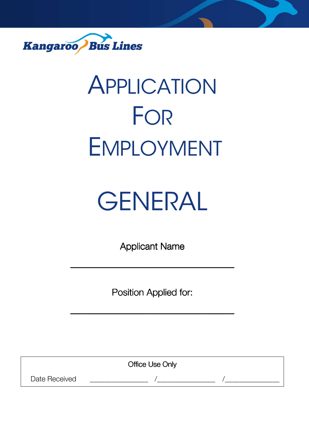

# APPLICATION FOR EMPLOYMENT

# GENERAL

Applicant Name

\_\_\_\_\_\_\_\_\_\_\_\_\_\_\_\_\_\_\_\_\_\_\_\_\_\_\_\_\_\_\_\_\_\_\_ \_\_\_\_\_\_\_\_\_\_\_\_\_\_\_\_\_\_\_\_\_\_\_\_\_\_\_\_\_\_\_\_\_\_\_

Position Applied for:

\_\_\_\_\_\_\_\_\_\_\_\_\_\_\_\_\_\_\_\_\_\_\_\_\_\_\_\_\_\_\_\_\_\_\_ \_\_\_\_\_\_\_\_\_\_\_\_\_\_\_\_\_\_\_\_\_\_\_\_\_\_\_\_\_\_\_\_\_\_\_

**Office Use Only** 

Date Received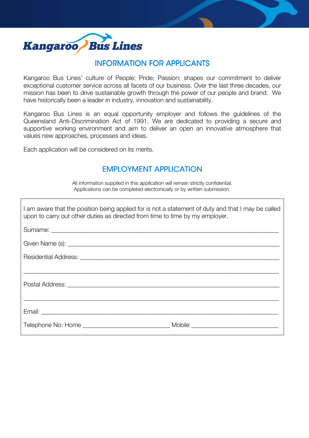

## INFORMATION FOR APPLICANTS

Kangaroo Bus Lines' culture of People; Pride; Passion; shapes our commitment to deliver exceptional customer service across all facets of our business. Over the last three decades, our mission has been to drive sustainable growth through the power of our people and brand. We have historically been a leader in industry, innovation and sustainability.

Kangaroo Bus Lines is an equal opportunity employer and follows the guidelines of the Queensland Anti-Discrimination Act of 1991. We are dedicated to providing a secure and supportive working environment and aim to deliver an open an innovative atmosphere that values new approaches, processes and ideas.

Each application will be considered on its merits.

# **EMPLOYMENT APPLICATION**

All information supplied in this application will remain strictly confidential. Applications can be completed electronically or by written submission.

| I am aware that the position being applied for is not a statement of duty and that I may be called<br>upon to carry out other duties as directed from time to time by my employer. |  |  |  |  |
|------------------------------------------------------------------------------------------------------------------------------------------------------------------------------------|--|--|--|--|
|                                                                                                                                                                                    |  |  |  |  |
|                                                                                                                                                                                    |  |  |  |  |
|                                                                                                                                                                                    |  |  |  |  |
|                                                                                                                                                                                    |  |  |  |  |
|                                                                                                                                                                                    |  |  |  |  |
|                                                                                                                                                                                    |  |  |  |  |
|                                                                                                                                                                                    |  |  |  |  |
| Telephone No: Home ___________________________________ Mobile ___________________                                                                                                  |  |  |  |  |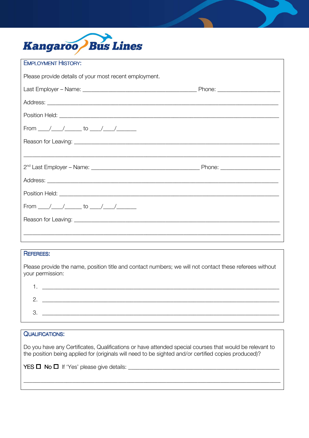

| <b>EMPLOYMENT HISTORY:</b>                                                        |  |
|-----------------------------------------------------------------------------------|--|
| Please provide details of your most recent employment.                            |  |
|                                                                                   |  |
|                                                                                   |  |
|                                                                                   |  |
| From ____/____/______ to ____/____/_______                                        |  |
|                                                                                   |  |
| ,一个人的人都是一个人的人,我们就是一个人的人,我们就是一个人的人,我们就是一个人的人,我们就是一个人的人,我们就是一个人的人,我们就是一个人的人,我们就是一个人 |  |
|                                                                                   |  |
|                                                                                   |  |
|                                                                                   |  |
| From ____/____/______ to ____/____/_______                                        |  |
|                                                                                   |  |
|                                                                                   |  |
|                                                                                   |  |

### **REFEREES:**

Please provide the name, position title and contact numbers; we will not contact these referees without your permission:

| . |  |
|---|--|
|   |  |
| ີ |  |

#### **QUALIFICATIONS:**

Do you have any Certificates, Qualifications or have attended special courses that would be relevant to the position being applied for (originals will need to be sighted and/or certified copies produced)?

 $YES \Box No \Box$  If 'Yes' please give details: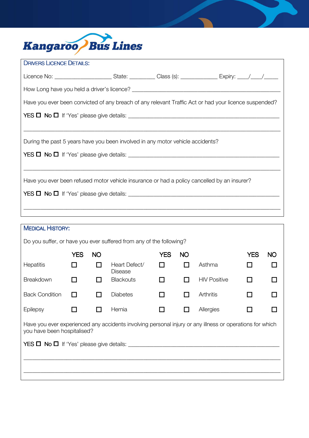

| During the past 5 years have you been involved in any motor vehicle accidents? |  |                                                                                                                                                                                                                                                                                                                              |  |  |  |  |
|--------------------------------------------------------------------------------|--|------------------------------------------------------------------------------------------------------------------------------------------------------------------------------------------------------------------------------------------------------------------------------------------------------------------------------|--|--|--|--|
| $YES \Box No \Box$ If 'Yes' please give details: $\Box$                        |  |                                                                                                                                                                                                                                                                                                                              |  |  |  |  |
|                                                                                |  |                                                                                                                                                                                                                                                                                                                              |  |  |  |  |
|                                                                                |  |                                                                                                                                                                                                                                                                                                                              |  |  |  |  |
|                                                                                |  |                                                                                                                                                                                                                                                                                                                              |  |  |  |  |
|                                                                                |  |                                                                                                                                                                                                                                                                                                                              |  |  |  |  |
|                                                                                |  | Licence No: ____________________________State: ____________Class (s): __________________Expiry: _____/_____/________<br>Have you ever been convicted of any breach of any relevant Traffic Act or had your licence suspended?<br>Have you ever been refused motor vehicle insurance or had a policy cancelled by an insurer? |  |  |  |  |

| <b>MEDICAL HISTORY:</b>                                                                                                                 |            |           |                                 |            |           |                     |            |           |
|-----------------------------------------------------------------------------------------------------------------------------------------|------------|-----------|---------------------------------|------------|-----------|---------------------|------------|-----------|
| Do you suffer, or have you ever suffered from any of the following?                                                                     |            |           |                                 |            |           |                     |            |           |
|                                                                                                                                         | <b>YES</b> | <b>NO</b> |                                 | <b>YES</b> | <b>NO</b> |                     | <b>YES</b> | <b>NO</b> |
| Hepatitis                                                                                                                               |            | l l       | Heart Defect/<br><b>Disease</b> |            |           | Asthma              |            |           |
| Breakdown                                                                                                                               | ΙI         | l I       | <b>Blackouts</b>                | П          |           | <b>HIV Positive</b> | H          |           |
| <b>Back Condition</b>                                                                                                                   | LΙ         |           | <b>Diabetes</b>                 | ΙI         |           | Arthritis           | ΙI         |           |
| Epilepsy                                                                                                                                | l I        | H         | Hernia                          |            |           | Allergies           | n          |           |
| Have you ever experienced any accidents involving personal injury or any illness or operations for which<br>you have been hospitalised? |            |           |                                 |            |           |                     |            |           |
| $YES \Box No \Box$ If 'Yes' please give details: $\Box$                                                                                 |            |           |                                 |            |           |                     |            |           |
|                                                                                                                                         |            |           |                                 |            |           |                     |            |           |
|                                                                                                                                         |            |           |                                 |            |           |                     |            |           |
|                                                                                                                                         |            |           |                                 |            |           |                     |            |           |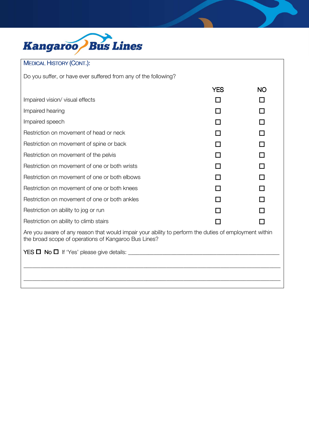

### MEDICAL HISTORY (CONT.):

Do you suffer, or have ever suffered from any of the following?

|                                                                                                                                                               | <b>YES</b> | <b>NO</b> |  |  |
|---------------------------------------------------------------------------------------------------------------------------------------------------------------|------------|-----------|--|--|
| Impaired vision/ visual effects                                                                                                                               |            |           |  |  |
| Impaired hearing                                                                                                                                              |            |           |  |  |
| Impaired speech                                                                                                                                               |            |           |  |  |
| Restriction on movement of head or neck                                                                                                                       |            |           |  |  |
| Restriction on movement of spine or back                                                                                                                      |            |           |  |  |
| Restriction on movement of the pelvis                                                                                                                         |            |           |  |  |
| Restriction on movement of one or both wrists                                                                                                                 |            |           |  |  |
| Restriction on movement of one or both elbows                                                                                                                 |            |           |  |  |
| Restriction on movement of one or both knees                                                                                                                  |            |           |  |  |
| Restriction on movement of one or both ankles                                                                                                                 |            |           |  |  |
| Restriction on ability to jog or run                                                                                                                          |            |           |  |  |
| Restriction on ability to climb stairs                                                                                                                        |            |           |  |  |
| Are you aware of any reason that would impair your ability to perform the duties of employment within<br>the broad scope of operations of Kangaroo Bus Lines? |            |           |  |  |
|                                                                                                                                                               |            |           |  |  |
|                                                                                                                                                               |            |           |  |  |
|                                                                                                                                                               |            |           |  |  |

\_\_\_\_\_\_\_\_\_\_\_\_\_\_\_\_\_\_\_\_\_\_\_\_\_\_\_\_\_\_\_\_\_\_\_\_\_\_\_\_\_\_\_\_\_\_\_\_\_\_\_\_\_\_\_\_\_\_\_\_\_\_\_\_\_\_\_\_\_\_\_\_\_\_\_\_\_\_\_\_\_\_\_\_\_\_\_\_\_\_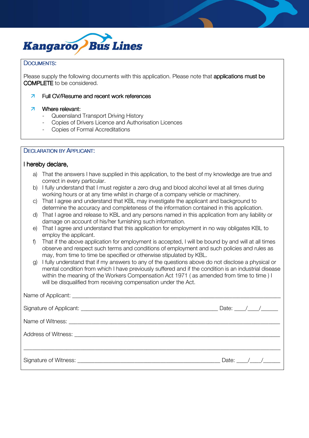

#### DOCUMENTS:

Please supply the following documents with this application. Please note that applications must be COMPLETE to be considered.

#### $\overline{z}$ Full CV/Resume and recent work references

#### 7 Where relevant:

- Queensland Transport Driving History
- Copies of Drivers Licence and Authorisation Licences
- Copies of Formal Accreditations

#### DECLARATION BY APPLICANT:

#### I hereby declare,

- a) That the answers I have supplied in this application, to the best of my knowledge are true and correct in every particular.
- b) I fully understand that I must register a zero drug and blood alcohol level at all times during working hours or at any time whilst in charge of a company vehicle or machinery.
- c) That I agree and understand that KBL may investigate the applicant and background to determine the accuracy and completeness of the information contained in this application.
- d) That I agree and release to KBL and any persons named in this application from any liability or damage on account of his/her furnishing such information.
- e) That I agree and understand that this application for employment in no way obligates KBL to employ the applicant.
- f) That if the above application for employment is accepted, I will be bound by and will at all times observe and respect such terms and conditions of employment and such policies and rules as may, from time to time be specified or otherwise stipulated by KBL.
- g) I fully understand that if my answers to any of the questions above do not disclose a physical or mental condition from which I have previously suffered and if the condition is an industrial disease within the meaning of the Workers Compensation Act 1971 ( as amended from time to time ) I will be disqualified from receiving compensation under the Act.

| Date: $\frac{1}{\sqrt{2\pi}}$ |
|-------------------------------|
|                               |
|                               |
|                               |
| Date: $/$ /                   |